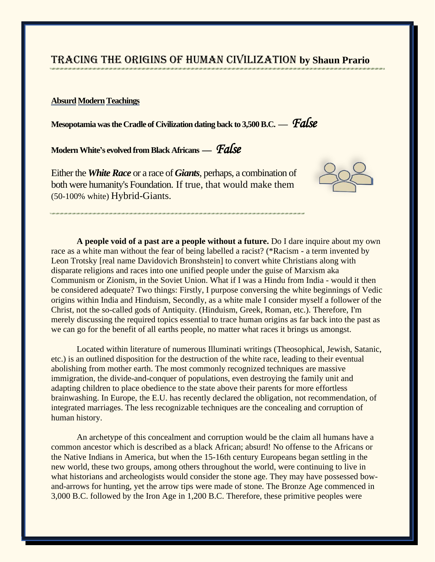# Tracing the Origins of Human Civilization **by Shaun Prario**

## **Absurd Modern Teachings**

**Mesopotamia was the Cradle of Civilization dating back to 3,500 B.C. —** *False* 

**Modern White's evolved from Black Africans —** *False* 

Either the *White Race* or a race of *Giants*, perhaps, a combination of both were humanity's Foundation. If true, that would make them (50-100% white) Hybrid-Giants.



**A people void of a past are a people without a future.** Do I dare inquire about my own race as a white man without the fear of being labelled a racist? (\*Racism - a term invented by Leon Trotsky [real name Davidovich Bronshstein] to convert white Christians along with disparate religions and races into one unified people under the guise of Marxism aka Communism or Zionism, in the Soviet Union. What if I was a Hindu from India - would it then be considered adequate? Two things: Firstly, I purpose conversing the white beginnings of Vedic origins within India and Hinduism, Secondly, as a white male I consider myself a follower of the Christ, not the so-called gods of Antiquity. (Hinduism, Greek, Roman, etc.). Therefore, I'm merely discussing the required topics essential to trace human origins as far back into the past as we can go for the benefit of all earths people, no matter what races it brings us amongst.

Located within literature of numerous Illuminati writings (Theosophical, Jewish, Satanic, etc.) is an outlined disposition for the destruction of the white race, leading to their eventual abolishing from mother earth. The most commonly recognized techniques are massive immigration, the divide-and-conquer of populations, even destroying the family unit and adapting children to place obedience to the state above their parents for more effortless brainwashing. In Europe, the E.U. has recently declared the obligation, not recommendation, of integrated marriages. The less recognizable techniques are the concealing and corruption of human history.

An archetype of this concealment and corruption would be the claim all humans have a common ancestor which is described as a black African; absurd! No offense to the Africans or the Native Indians in America, but when the 15-16th century Europeans began settling in the new world, these two groups, among others throughout the world, were continuing to live in what historians and archeologists would consider the stone age. They may have possessed bowand-arrows for hunting, yet the arrow tips were made of stone. The Bronze Age commenced in 3,000 B.C. followed by the Iron Age in 1,200 B.C. Therefore, these primitive peoples were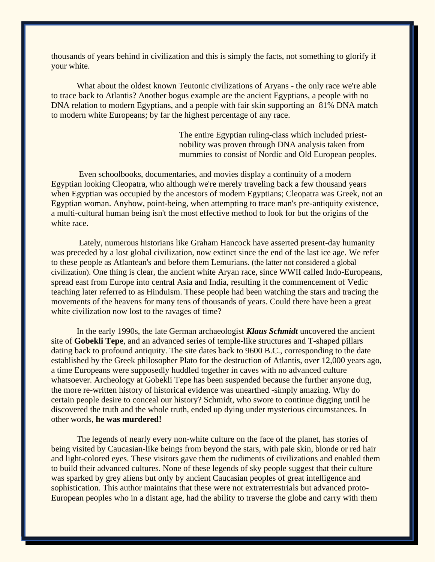thousands of years behind in civilization and this is simply the facts, not something to glorify if your white.

What about the oldest known Teutonic civilizations of Aryans - the only race we're able to trace back to Atlantis? Another bogus example are the ancient Egyptians, a people with no DNA relation to modern Egyptians, and a people with fair skin supporting an 81% DNA match to modern white Europeans; by far the highest percentage of any race.

> The entire Egyptian ruling-class which included priestnobility was proven through DNA analysis taken from mummies to consist of Nordic and Old European peoples.

Even schoolbooks, documentaries, and movies display a continuity of a modern Egyptian looking Cleopatra, who although we're merely traveling back a few thousand years when Egyptian was occupied by the ancestors of modern Egyptians; Cleopatra was Greek, not an Egyptian woman. Anyhow, point-being, when attempting to trace man's pre-antiquity existence, a multi-cultural human being isn't the most effective method to look for but the origins of the white race.

Lately, numerous historians like Graham Hancock have asserted present-day humanity was preceded by a lost global civilization, now extinct since the end of the last ice age. We refer to these people as Atlantean's and before them Lemurians. (the latter not considered a global civilization). One thing is clear, the ancient white Aryan race, since WWII called Indo-Europeans, spread east from Europe into central Asia and India, resulting it the commencement of Vedic teaching later referred to as Hinduism. These people had been watching the stars and tracing the movements of the heavens for many tens of thousands of years. Could there have been a great white civilization now lost to the ravages of time?

In the early 1990s, the late German archaeologist *Klaus Schmidt* uncovered the ancient site of **Gobekli Tepe**, and an advanced series of temple-like structures and T-shaped pillars dating back to profound antiquity. The site dates back to 9600 B.C., corresponding to the date established by the Greek philosopher Plato for the destruction of Atlantis, over 12,000 years ago, a time Europeans were supposedly huddled together in caves with no advanced culture whatsoever. Archeology at Gobekli Tepe has been suspended because the further anyone dug, the more re-written history of historical evidence was unearthed -simply amazing. Why do certain people desire to conceal our history? Schmidt, who swore to continue digging until he discovered the truth and the whole truth, ended up dying under mysterious circumstances. In other words, **he was murdered!**

The legends of nearly every non-white culture on the face of the planet, has stories of being visited by Caucasian-like beings from beyond the stars, with pale skin, blonde or red hair and light-colored eyes. These visitors gave them the rudiments of civilizations and enabled them to build their advanced cultures. None of these legends of sky people suggest that their culture was sparked by grey aliens but only by ancient Caucasian peoples of great intelligence and sophistication. This author maintains that these were not extraterrestrials but advanced proto-European peoples who in a distant age, had the ability to traverse the globe and carry with them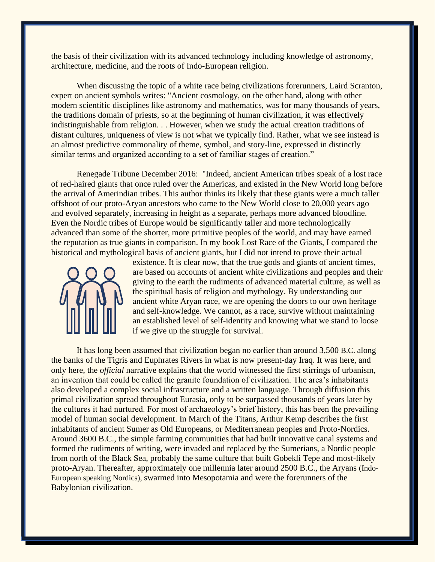the basis of their civilization with its advanced technology including knowledge of astronomy, architecture, medicine, and the roots of Indo-European religion.

When discussing the topic of a white race being civilizations forerunners, Laird Scranton, expert on ancient symbols writes: "Ancient cosmology, on the other hand, along with other modern scientific disciplines like astronomy and mathematics, was for many thousands of years, the traditions domain of priests, so at the beginning of human civilization, it was effectively indistinguishable from religion. . . However, when we study the actual creation traditions of distant cultures, uniqueness of view is not what we typically find. Rather, what we see instead is an almost predictive commonality of theme, symbol, and story-line, expressed in distinctly similar terms and organized according to a set of familiar stages of creation."

Renegade Tribune December 2016: "Indeed, ancient American tribes speak of a lost race of red-haired giants that once ruled over the Americas, and existed in the New World long before the arrival of Amerindian tribes. This author thinks its likely that these giants were a much taller offshoot of our proto-Aryan ancestors who came to the New World close to 20,000 years ago and evolved separately, increasing in height as a separate, perhaps more advanced bloodline. Even the Nordic tribes of Europe would be significantly taller and more technologically advanced than some of the shorter, more primitive peoples of the world, and may have earned the reputation as true giants in comparison. In my book Lost Race of the Giants, I compared the historical and mythological basis of ancient giants, but I did not intend to prove their actual



existence. It is clear now, that the true gods and giants of ancient times, are based on accounts of ancient white civilizations and peoples and their giving to the earth the rudiments of advanced material culture, as well as the spiritual basis of religion and mythology. By understanding our ancient white Aryan race, we are opening the doors to our own heritage and self-knowledge. We cannot, as a race, survive without maintaining an established level of self-identity and knowing what we stand to loose if we give up the struggle for survival.

It has long been assumed that civilization began no earlier than around 3,500 B.C. along the banks of the Tigris and Euphrates Rivers in what is now present-day Iraq. It was here, and only here, the *official* narrative explains that the world witnessed the first stirrings of urbanism, an invention that could be called the granite foundation of civilization. The area's inhabitants also developed a complex social infrastructure and a written language. Through diffusion this primal civilization spread throughout Eurasia, only to be surpassed thousands of years later by the cultures it had nurtured. For most of archaeology's brief history, this has been the prevailing model of human social development. In March of the Titans, Arthur Kemp describes the first inhabitants of ancient Sumer as Old Europeans, or Mediterranean peoples and Proto-Nordics. Around 3600 B.C., the simple farming communities that had built innovative canal systems and formed the rudiments of writing, were invaded and replaced by the Sumerians, a Nordic people from north of the Black Sea, probably the same culture that built Gobekli Tepe and most-likely proto-Aryan. Thereafter, approximately one millennia later around 2500 B.C., the Aryans (Indo-European speaking Nordics), swarmed into Mesopotamia and were the forerunners of the Babylonian civilization.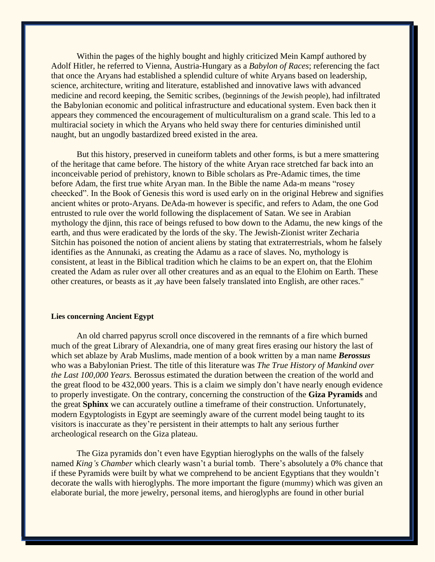Within the pages of the highly bought and highly criticized Mein Kampf authored by Adolf Hitler, he referred to Vienna, Austria-Hungary as a *Babylon of Races*; referencing the fact that once the Aryans had established a splendid culture of white Aryans based on leadership, science, architecture, writing and literature, established and innovative laws with advanced medicine and record keeping, the Semitic scribes, (beginnings of the Jewish people), had infiltrated the Babylonian economic and political infrastructure and educational system. Even back then it appears they commenced the encouragement of multiculturalism on a grand scale. This led to a multiracial society in which the Aryans who held sway there for centuries diminished until naught, but an ungodly bastardized breed existed in the area.

But this history, preserved in cuneiform tablets and other forms, is but a mere smattering of the heritage that came before. The history of the white Aryan race stretched far back into an inconceivable period of prehistory, known to Bible scholars as Pre-Adamic times, the time before Adam, the first true white Aryan man. In the Bible the name Ada-m means "rosey cheecked". In the Book of Genesis this word is used early on in the original Hebrew and signifies ancient whites or proto-Aryans. DeAda-m however is specific, and refers to Adam, the one God entrusted to rule over the world following the displacement of Satan. We see in Arabian mythology the djinn, this race of beings refused to bow down to the Adamu, the new kings of the earth, and thus were eradicated by the lords of the sky. The Jewish-Zionist writer Zecharia Sitchin has poisoned the notion of ancient aliens by stating that extraterrestrials, whom he falsely identifies as the Annunaki, as creating the Adamu as a race of slaves. No, mythology is consistent, at least in the Biblical tradition which he claims to be an expert on, that the Elohim created the Adam as ruler over all other creatures and as an equal to the Elohim on Earth. These other creatures, or beasts as it ,ay have been falsely translated into English, are other races."

#### **Lies concerning Ancient Egypt**

An old charred papyrus scroll once discovered in the remnants of a fire which burned much of the great Library of Alexandria, one of many great fires erasing our history the last of which set ablaze by Arab Muslims, made mention of a book written by a man name *Berossus* who was a Babylonian Priest. The title of this literature was *The True History of Mankind over the Last 100,000 Years.* Berossus estimated the duration between the creation of the world and the great flood to be 432,000 years. This is a claim we simply don't have nearly enough evidence to properly investigate. On the contrary, concerning the construction of the **Giza Pyramids** and the great **Sphinx** we can accurately outline a timeframe of their construction. Unfortunately, modern Egyptologists in Egypt are seemingly aware of the current model being taught to its visitors is inaccurate as they're persistent in their attempts to halt any serious further archeological research on the Giza plateau.

The Giza pyramids don't even have Egyptian hieroglyphs on the walls of the falsely named *King's Chamber* which clearly wasn't a burial tomb. There's absolutely a 0% chance that if these Pyramids were built by what we comprehend to be ancient Egyptians that they wouldn't decorate the walls with hieroglyphs. The more important the figure (mummy) which was given an elaborate burial, the more jewelry, personal items, and hieroglyphs are found in other burial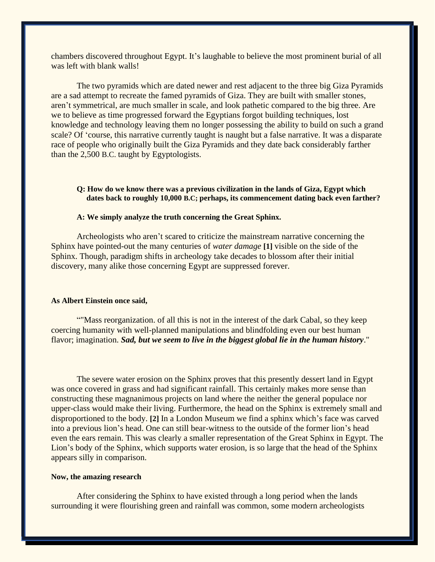chambers discovered throughout Egypt. It's laughable to believe the most prominent burial of all was left with blank walls!

The two pyramids which are dated newer and rest adjacent to the three big Giza Pyramids are a sad attempt to recreate the famed pyramids of Giza. They are built with smaller stones, aren't symmetrical, are much smaller in scale, and look pathetic compared to the big three. Are we to believe as time progressed forward the Egyptians forgot building techniques, lost knowledge and technology leaving them no longer possessing the ability to build on such a grand scale? Of 'course, this narrative currently taught is naught but a false narrative. It was a disparate race of people who originally built the Giza Pyramids and they date back considerably farther than the 2,500 B.C. taught by Egyptologists.

### **Q: How do we know there was a previous civilization in the lands of Giza, Egypt which dates back to roughly 10,000 B.C; perhaps, its commencement dating back even farther?**

#### **A: We simply analyze the truth concerning the Great Sphinx.**

Archeologists who aren't scared to criticize the mainstream narrative concerning the Sphinx have pointed-out the many centuries of *water damage* **[1]** visible on the side of the Sphinx. Though, paradigm shifts in archeology take decades to blossom after their initial discovery, many alike those concerning Egypt are suppressed forever.

#### **As Albert Einstein once said,**

""Mass reorganization. of all this is not in the interest of the dark Cabal, so they keep coercing humanity with well-planned manipulations and blindfolding even our best human flavor; imagination. *Sad, but we seem to live in the biggest global lie in the human history*."

The severe water erosion on the Sphinx proves that this presently dessert land in Egypt was once covered in grass and had significant rainfall. This certainly makes more sense than constructing these magnanimous projects on land where the neither the general populace nor upper-class would make their living. Furthermore, the head on the Sphinx is extremely small and disproportioned to the body. **[2]** In a London Museum we find a sphinx which's face was carved into a previous lion's head. One can still bear-witness to the outside of the former lion's head even the ears remain. This was clearly a smaller representation of the Great Sphinx in Egypt. The Lion's body of the Sphinx, which supports water erosion, is so large that the head of the Sphinx appears silly in comparison.

#### **Now, the amazing research**

After considering the Sphinx to have existed through a long period when the lands surrounding it were flourishing green and rainfall was common, some modern archeologists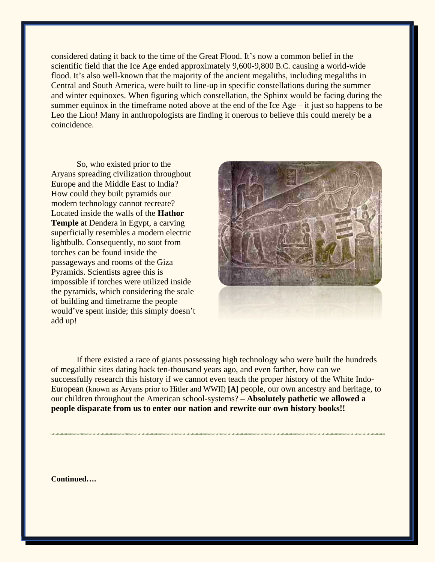considered dating it back to the time of the Great Flood. It's now a common belief in the scientific field that the Ice Age ended approximately 9,600-9,800 B.C. causing a world-wide flood. It's also well-known that the majority of the ancient megaliths, including megaliths in Central and South America, were built to line-up in specific constellations during the summer and winter equinoxes. When figuring which constellation, the Sphinx would be facing during the summer equinox in the timeframe noted above at the end of the Ice Age – it just so happens to be Leo the Lion! Many in anthropologists are finding it onerous to believe this could merely be a coincidence.

So, who existed prior to the Aryans spreading civilization throughout Europe and the Middle East to India? How could they built pyramids our modern technology cannot recreate? Located inside the walls of the **Hathor Temple** at Dendera in Egypt, a carving superficially resembles a modern electric lightbulb. Consequently, no soot from torches can be found inside the passageways and rooms of the Giza Pyramids. Scientists agree this is impossible if torches were utilized inside the pyramids, which considering the scale of building and timeframe the people would've spent inside; this simply doesn't add up!



If there existed a race of giants possessing high technology who were built the hundreds of megalithic sites dating back ten-thousand years ago, and even farther, how can we successfully research this history if we cannot even teach the proper history of the White Indo-European (known as Aryans prior to Hitler and WWII) **[A]** people, our own ancestry and heritage, to our children throughout the American school-systems? **– Absolutely pathetic we allowed a people disparate from us to enter our nation and rewrite our own history books!!**

**Continued….**